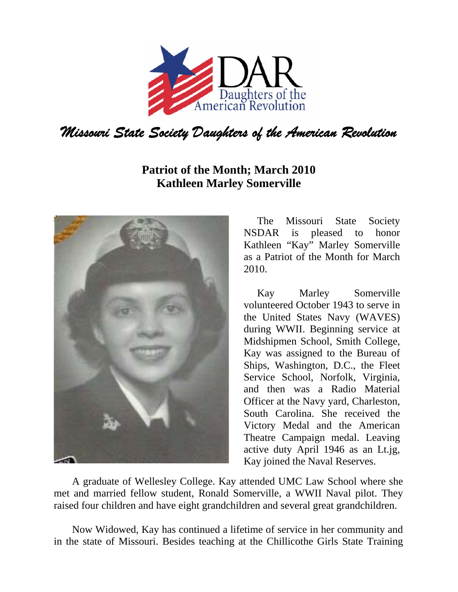

## **Patriot of the Month; March 2010 Kathleen Marley Somerville**



The Missouri State Society NSDAR is pleased to honor Kathleen "Kay" Marley Somerville as a Patriot of the Month for March 2010.

Kay Marley Somerville volunteered October 1943 to serve in the United States Navy (WAVES) during WWII. Beginning service at Midshipmen School, Smith College, Kay was assigned to the Bureau of Ships, Washington, D.C., the Fleet Service School, Norfolk, Virginia, and then was a Radio Material Officer at the Navy yard, Charleston, South Carolina. She received the Victory Medal and the American Theatre Campaign medal. Leaving active duty April 1946 as an Lt.jg, Kay joined the Naval Reserves.

 A graduate of Wellesley College. Kay attended UMC Law School where she met and married fellow student, Ronald Somerville, a WWII Naval pilot. They raised four children and have eight grandchildren and several great grandchildren.

 Now Widowed, Kay has continued a lifetime of service in her community and in the state of Missouri. Besides teaching at the Chillicothe Girls State Training